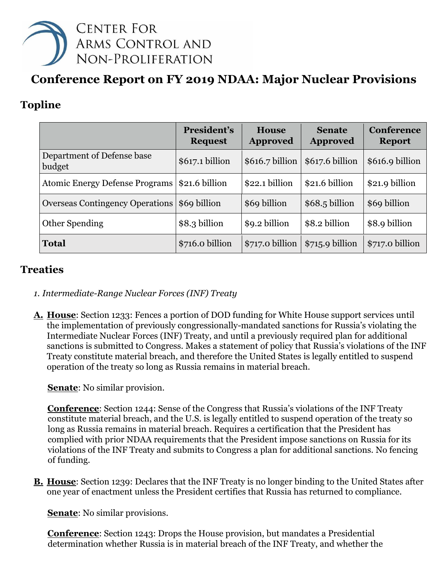

# **Conference Report on FY 2019 NDAA: Major Nuclear Provisions**

# **Topline**

|                                        | President's<br><b>Request</b> | <b>House</b><br><b>Approved</b> | <b>Senate</b><br><b>Approved</b> | <b>Conference</b><br><b>Report</b> |
|----------------------------------------|-------------------------------|---------------------------------|----------------------------------|------------------------------------|
| Department of Defense base<br>budget   | \$617.1 billion               | $$616.7$ billion                | \$617.6 billion                  | \$616.9 billion                    |
| <b>Atomic Energy Defense Programs</b>  | \$21.6 billion                | \$22.1 billion                  | \$21.6 billion                   | \$21.9 billion                     |
| <b>Overseas Contingency Operations</b> | \$69 billion                  | \$69 billion                    | $$68.5$ billion                  | \$69 billion                       |
| Other Spending                         | \$8.3 billion                 | \$9.2 billion                   | \$8.2 billion                    | \$8.9 billion                      |
| <b>Total</b>                           | \$716.0 billion               | \$717.0 billion                 | $$715.9$ billion                 | \$717.0 billion                    |

### **Treaties**

- *1. Intermediate-Range Nuclear Forces (INF) Treaty*
- **A. House**: Section 1233: Fences a portion of DOD funding for White House support services until the implementation of previously congressionally-mandated sanctions for Russia's violating the Intermediate Nuclear Forces (INF) Treaty, and until a previously required plan for additional sanctions is submitted to Congress. Makes a statement of policy that Russia's violations of the INF Treaty constitute material breach, and therefore the United States is legally entitled to suspend operation of the treaty so long as Russia remains in material breach.

**Senate**: No similar provision.

**Conference**: Section 1244: Sense of the Congress that Russia's violations of the INF Treaty constitute material breach, and the U.S. is legally entitled to suspend operation of the treaty so long as Russia remains in material breach. Requires a certification that the President has complied with prior NDAA requirements that the President impose sanctions on Russia for its violations of the INF Treaty and submits to Congress a plan for additional sanctions. No fencing of funding.

**B. House**: Section 1239: Declares that the INF Treaty is no longer binding to the United States after one year of enactment unless the President certifies that Russia has returned to compliance.

**Senate**: No similar provisions.

**Conference**: Section 1243: Drops the House provision, but mandates a Presidential determination whether Russia is in material breach of the INF Treaty, and whether the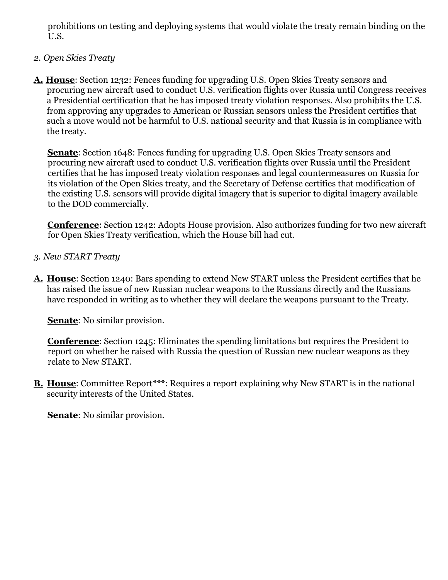prohibitions on testing and deploying systems that would violate the treaty remain binding on the U.S.

#### *2. Open Skies Treaty*

**A. House**: Section 1232: Fences funding for upgrading U.S. Open Skies Treaty sensors and procuring new aircraft used to conduct U.S. verification flights over Russia until Congress receives a Presidential certification that he has imposed treaty violation responses. Also prohibits the U.S. from approving any upgrades to American or Russian sensors unless the President certifies that such a move would not be harmful to U.S. national security and that Russia is in compliance with the treaty.

**Senate:** Section 1648: Fences funding for upgrading U.S. Open Skies Treaty sensors and procuring new aircraft used to conduct U.S. verification flights over Russia until the President certifies that he has imposed treaty violation responses and legal countermeasures on Russia for its violation of the Open Skies treaty, and the Secretary of Defense certifies that modification of the existing U.S. sensors will provide digital imagery that is superior to digital imagery available to the DOD commercially.

**Conference**: Section 1242: Adopts House provision. Also authorizes funding for two new aircraft for Open Skies Treaty verification, which the House bill had cut.

- *3. New START Treaty*
- **A. House**: Section 1240: Bars spending to extend New START unless the President certifies that he has raised the issue of new Russian nuclear weapons to the Russians directly and the Russians have responded in writing as to whether they will declare the weapons pursuant to the Treaty.

**Senate**: No similar provision.

**Conference**: Section 1245: Eliminates the spending limitations but requires the President to report on whether he raised with Russia the question of Russian new nuclear weapons as they relate to New START.

**B.** House: Committee Report\*\*\*: Requires a report explaining why New START is in the national security interests of the United States.

**Senate**: No similar provision.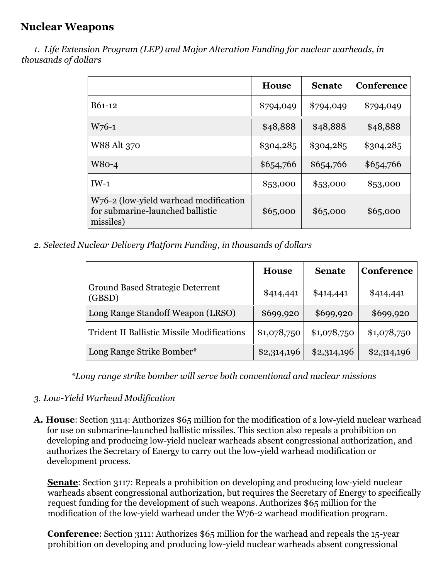### **Nuclear Weapons**

 *1. Life Extension Program (LEP) and Major Alteration Funding for nuclear warheads, in thousands of dollars* 

|                                                                                        | <b>House</b> | <b>Senate</b> | <b>Conference</b> |
|----------------------------------------------------------------------------------------|--------------|---------------|-------------------|
| B61-12                                                                                 | \$794,049    | \$794,049     | \$794,049         |
| $W_76-1$                                                                               | \$48,888     | \$48,888      | \$48,888          |
| W88 Alt 370                                                                            | \$304,285    | \$304,285     | \$304,285         |
| $W80-4$                                                                                | \$654,766    | \$654,766     | \$654,766         |
| $IW-1$                                                                                 | \$53,000     | \$53,000      | \$53,000          |
| W76-2 (low-yield warhead modification<br>for submarine-launched ballistic<br>missiles) | \$65,000     | \$65,000      | \$65,000          |

*2. Selected Nuclear Delivery Platform Funding, in thousands of dollars* 

|                                                   | <b>House</b> | <b>Senate</b> | Conference  |
|---------------------------------------------------|--------------|---------------|-------------|
| Ground Based Strategic Deterrent<br>(GBSD)        | \$414,441    | \$414,441     | \$414,441   |
| Long Range Standoff Weapon (LRSO)                 | \$699,920    | \$699,920     | \$699,920   |
| <b>Trident II Ballistic Missile Modifications</b> | \$1,078,750  | \$1,078,750   | \$1,078,750 |
| Long Range Strike Bomber*                         | \$2,314,196  | \$2,314,196   | \$2,314,196 |

*\*Long range strike bomber will serve both conventional and nuclear missions* 

- *3. Low-Yield Warhead Modification*
- **A. House**: Section 3114: Authorizes \$65 million for the modification of a low-yield nuclear warhead for use on submarine-launched ballistic missiles. This section also repeals a prohibition on developing and producing low-yield nuclear warheads absent congressional authorization, and authorizes the Secretary of Energy to carry out the low-yield warhead modification or development process.

**Senate:** Section 3117: Repeals a prohibition on developing and producing low-yield nuclear warheads absent congressional authorization, but requires the Secretary of Energy to specifically request funding for the development of such weapons. Authorizes \$65 million for the modification of the low-yield warhead under the W76-2 warhead modification program.

**Conference**: Section 3111: Authorizes \$65 million for the warhead and repeals the 15-year prohibition on developing and producing low-yield nuclear warheads absent congressional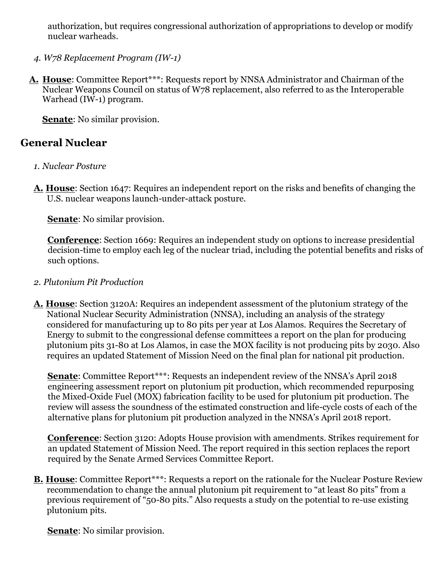authorization, but requires congressional authorization of appropriations to develop or modify nuclear warheads.

- *4. W78 Replacement Program (IW-1)*
- **A. House**: Committee Report\*\*\*: Requests report by NNSA Administrator and Chairman of the Nuclear Weapons Council on status of W78 replacement, also referred to as the Interoperable Warhead (IW-1) program.

**Senate**: No similar provision.

### **General Nuclear**

- *1. Nuclear Posture*
- **A. House**: Section 1647: Requires an independent report on the risks and benefits of changing the U.S. nuclear weapons launch-under-attack posture.

**Senate**: No similar provision.

**Conference**: Section 1669: Requires an independent study on options to increase presidential decision-time to employ each leg of the nuclear triad, including the potential benefits and risks of such options.

- *2. Plutonium Pit Production*
- **A. House**: Section 3120A: Requires an independent assessment of the plutonium strategy of the National Nuclear Security Administration (NNSA), including an analysis of the strategy considered for manufacturing up to 80 pits per year at Los Alamos. Requires the Secretary of Energy to submit to the congressional defense committees a report on the plan for producing plutonium pits 31-80 at Los Alamos, in case the MOX facility is not producing pits by 2030. Also requires an updated Statement of Mission Need on the final plan for national pit production.

**Senate:** Committee Report\*\*\*: Requests an independent review of the NNSA's April 2018 engineering assessment report on plutonium pit production, which recommended repurposing the Mixed-Oxide Fuel (MOX) fabrication facility to be used for plutonium pit production. The review will assess the soundness of the estimated construction and life-cycle costs of each of the alternative plans for plutonium pit production analyzed in the NNSA's April 2018 report.

**Conference**: Section 3120: Adopts House provision with amendments. Strikes requirement for an updated Statement of Mission Need. The report required in this section replaces the report required by the Senate Armed Services Committee Report.

**B. House**: Committee Report\*\*\*: Requests a report on the rationale for the Nuclear Posture Review recommendation to change the annual plutonium pit requirement to "at least 80 pits" from a previous requirement of "50-80 pits." Also requests a study on the potential to re-use existing plutonium pits.

**Senate**: No similar provision.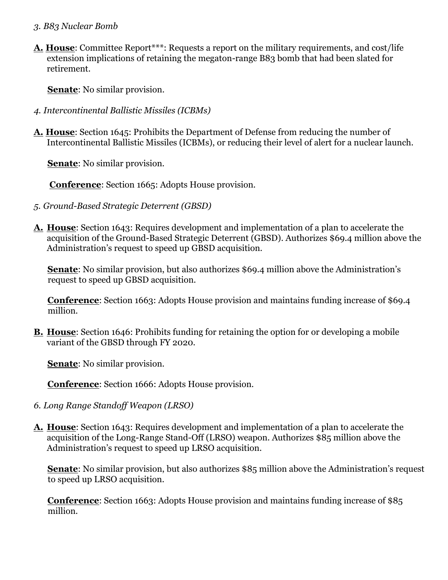#### *3. B83 Nuclear Bomb*

**A. House**: Committee Report\*\*\*: Requests a report on the military requirements, and cost/life extension implications of retaining the megaton-range B83 bomb that had been slated for retirement.

**Senate**: No similar provision.

- *4. Intercontinental Ballistic Missiles (ICBMs)*
- **A. House**: Section 1645: Prohibits the Department of Defense from reducing the number of Intercontinental Ballistic Missiles (ICBMs), or reducing their level of alert for a nuclear launch.

**Senate**: No similar provision.

**Conference**: Section 1665: Adopts House provision.

- *5. Ground-Based Strategic Deterrent (GBSD)*
- **A. House**: Section 1643: Requires development and implementation of a plan to accelerate the acquisition of the Ground-Based Strategic Deterrent (GBSD). Authorizes \$69.4 million above the Administration's request to speed up GBSD acquisition.

**Senate**: No similar provision, but also authorizes \$69.4 million above the Administration's request to speed up GBSD acquisition.

**Conference**: Section 1663: Adopts House provision and maintains funding increase of \$69.4 million.

**B. House**: Section 1646: Prohibits funding for retaining the option for or developing a mobile variant of the GBSD through FY 2020.

**Senate**: No similar provision.

**Conference**: Section 1666: Adopts House provision.

- *6. Long Range Standoff Weapon (LRSO)*
- **A. House**: Section 1643: Requires development and implementation of a plan to accelerate the acquisition of the Long-Range Stand-Off (LRSO) weapon. Authorizes \$85 million above the Administration's request to speed up LRSO acquisition.

**Senate**: No similar provision, but also authorizes \$85 million above the Administration's request to speed up LRSO acquisition.

**Conference**: Section 1663: Adopts House provision and maintains funding increase of \$85 million.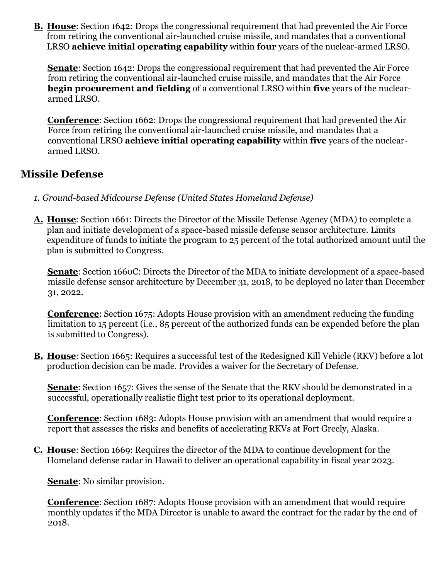**B. House**: Section 1642: Drops the congressional requirement that had prevented the Air Force from retiring the conventional air-launched cruise missile, and mandates that a conventional LRSO **achieve initial operating capability** within **four** years of the nuclear-armed LRSO.

**Senate**: Section 1642: Drops the congressional requirement that had prevented the Air Force from retiring the conventional air-launched cruise missile, and mandates that the Air Force **begin procurement and fielding** of a conventional LRSO within **five** years of the nucleararmed LRSO.

**Conference**: Section 1662: Drops the congressional requirement that had prevented the Air Force from retiring the conventional air-launched cruise missile, and mandates that a conventional LRSO **achieve initial operating capability** within **five** years of the nucleararmed LRSO.

### **Missile Defense**

- *1. Ground-based Midcourse Defense (United States Homeland Defense)*
- **A. House**: Section 1661: Directs the Director of the Missile Defense Agency (MDA) to complete a plan and initiate development of a space-based missile defense sensor architecture. Limits expenditure of funds to initiate the program to 25 percent of the total authorized amount until the plan is submitted to Congress.

**Senate**: Section 1660C: Directs the Director of the MDA to initiate development of a space-based missile defense sensor architecture by December 31, 2018, to be deployed no later than December 31, 2022.

**Conference**: Section 1675: Adopts House provision with an amendment reducing the funding limitation to 15 percent (i.e., 85 percent of the authorized funds can be expended before the plan is submitted to Congress).

**B. House**: Section 1665: Requires a successful test of the Redesigned Kill Vehicle (RKV) before a lot production decision can be made. Provides a waiver for the Secretary of Defense.

**Senate**: Section 1657: Gives the sense of the Senate that the RKV should be demonstrated in a successful, operationally realistic flight test prior to its operational deployment.

**Conference**: Section 1683: Adopts House provision with an amendment that would require a report that assesses the risks and benefits of accelerating RKVs at Fort Greely, Alaska.

**C. House**: Section 1669: Requires the director of the MDA to continue development for the Homeland defense radar in Hawaii to deliver an operational capability in fiscal year 2023.

**Senate**: No similar provision.

**Conference**: Section 1687: Adopts House provision with an amendment that would require monthly updates if the MDA Director is unable to award the contract for the radar by the end of 2018.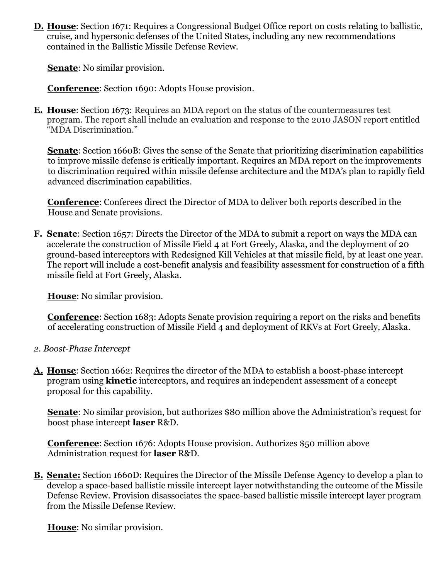**D. House**: Section 1671: Requires a Congressional Budget Office report on costs relating to ballistic, cruise, and hypersonic defenses of the United States, including any new recommendations contained in the Ballistic Missile Defense Review.

**Senate**: No similar provision.

**Conference**: Section 1690: Adopts House provision.

**E. House**: Section 1673: Requires an MDA report on the status of the countermeasures test program. The report shall include an evaluation and response to the 2010 JASON report entitled "MDA Discrimination."

**Senate**: Section 1660B: Gives the sense of the Senate that prioritizing discrimination capabilities to improve missile defense is critically important. Requires an MDA report on the improvements to discrimination required within missile defense architecture and the MDA's plan to rapidly field advanced discrimination capabilities.

**Conference**: Conferees direct the Director of MDA to deliver both reports described in the House and Senate provisions.

**F. Senate**: Section 1657: Directs the Director of the MDA to submit a report on ways the MDA can accelerate the construction of Missile Field 4 at Fort Greely, Alaska, and the deployment of 20 ground-based interceptors with Redesigned Kill Vehicles at that missile field, by at least one year. The report will include a cost-benefit analysis and feasibility assessment for construction of a fifth missile field at Fort Greely, Alaska.

**House**: No similar provision.

**Conference**: Section 1683: Adopts Senate provision requiring a report on the risks and benefits of accelerating construction of Missile Field 4 and deployment of RKVs at Fort Greely, Alaska.

- *2. Boost-Phase Intercept*
- **A. House**: Section 1662: Requires the director of the MDA to establish a boost-phase intercept program using **kinetic** interceptors, and requires an independent assessment of a concept proposal for this capability.

**Senate**: No similar provision, but authorizes \$80 million above the Administration's request for boost phase intercept **laser** R&D.

**Conference**: Section 1676: Adopts House provision. Authorizes \$50 million above Administration request for **laser** R&D.

**B. Senate:** Section 1660D: Requires the Director of the Missile Defense Agency to develop a plan to develop a space-based ballistic missile intercept layer notwithstanding the outcome of the Missile Defense Review. Provision disassociates the space-based ballistic missile intercept layer program from the Missile Defense Review.

**House**: No similar provision.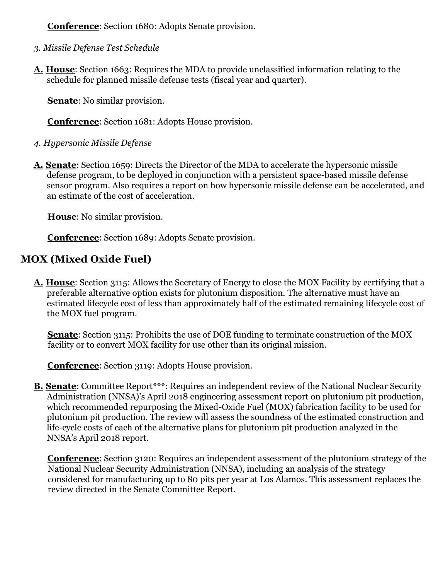**Conference**: Section 1680: Adopts Senate provision.

- *3. Missile Defense Test Schedule*
- **A. House**: Section 1663: Requires the MDA to provide unclassified information relating to the schedule for planned missile defense tests (fiscal year and quarter).

**Senate**: No similar provision.

**Conference**: Section 1681: Adopts House provision.

- *4. Hypersonic Missile Defense*
- **A. Senate**: Section 1659: Directs the Director of the MDA to accelerate the hypersonic missile defense program, to be deployed in conjunction with a persistent space-based missile defense sensor program. Also requires a report on how hypersonic missile defense can be accelerated, and an estimate of the cost of acceleration.

**House**: No similar provision.

**Conference**: Section 1689: Adopts Senate provision.

# **MOX (Mixed Oxide Fuel)**

**A. House**: Section 3115: Allows the Secretary of Energy to close the MOX Facility by certifying that a preferable alternative option exists for plutonium disposition. The alternative must have an estimated lifecycle cost of less than approximately half of the estimated remaining lifecycle cost of the MOX fuel program.

**Senate**: Section 3115: Prohibits the use of DOE funding to terminate construction of the MOX facility or to convert MOX facility for use other than its original mission.

**Conference**: Section 3119: Adopts House provision.

**B.** Senate: Committee Report\*\*\*: Requires an independent review of the National Nuclear Security Administration (NNSA)'s April 2018 engineering assessment report on plutonium pit production, which recommended repurposing the Mixed-Oxide Fuel (MOX) fabrication facility to be used for plutonium pit production. The review will assess the soundness of the estimated construction and life-cycle costs of each of the alternative plans for plutonium pit production analyzed in the NNSA's April 2018 report.

**Conference**: Section 3120: Requires an independent assessment of the plutonium strategy of the National Nuclear Security Administration (NNSA), including an analysis of the strategy considered for manufacturing up to 80 pits per year at Los Alamos. This assessment replaces the review directed in the Senate Committee Report.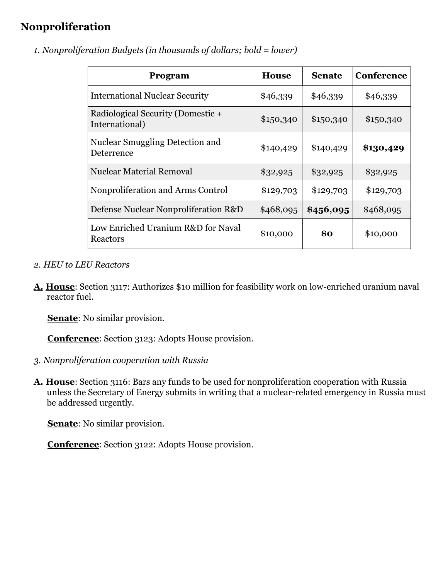# **Nonproliferation**

| Program                                              | <b>House</b> | <b>Senate</b> | <b>Conference</b> |
|------------------------------------------------------|--------------|---------------|-------------------|
| <b>International Nuclear Security</b>                | \$46,339     | \$46,339      | \$46,339          |
| Radiological Security (Domestic +<br>International)  | \$150,340    | \$150,340     | \$150,340         |
| <b>Nuclear Smuggling Detection and</b><br>Deterrence | \$140,429    | \$140,429     | \$130,429         |
| <b>Nuclear Material Removal</b>                      | \$32,925     | \$32,925      | \$32,925          |
| Nonproliferation and Arms Control                    | \$129,703    | \$129,703     | \$129,703         |
| Defense Nuclear Nonproliferation R&D                 | \$468,095    | \$456,095     | \$468,095         |
| Low Enriched Uranium R&D for Naval<br>Reactors       | \$10,000     | \$0           | \$10,000          |

*1. Nonproliferation Budgets (in thousands of dollars; bold = lower)* 

- *2. HEU to LEU Reactors*
- **A. House**: Section 3117: Authorizes \$10 million for feasibility work on low-enriched uranium naval reactor fuel.

**Senate**: No similar provision.

**Conference**: Section 3123: Adopts House provision.

- *3. Nonproliferation cooperation with Russia*
- **A. House**: Section 3116: Bars any funds to be used for nonproliferation cooperation with Russia unless the Secretary of Energy submits in writing that a nuclear-related emergency in Russia must be addressed urgently.

**Senate**: No similar provision.

**Conference**: Section 3122: Adopts House provision.